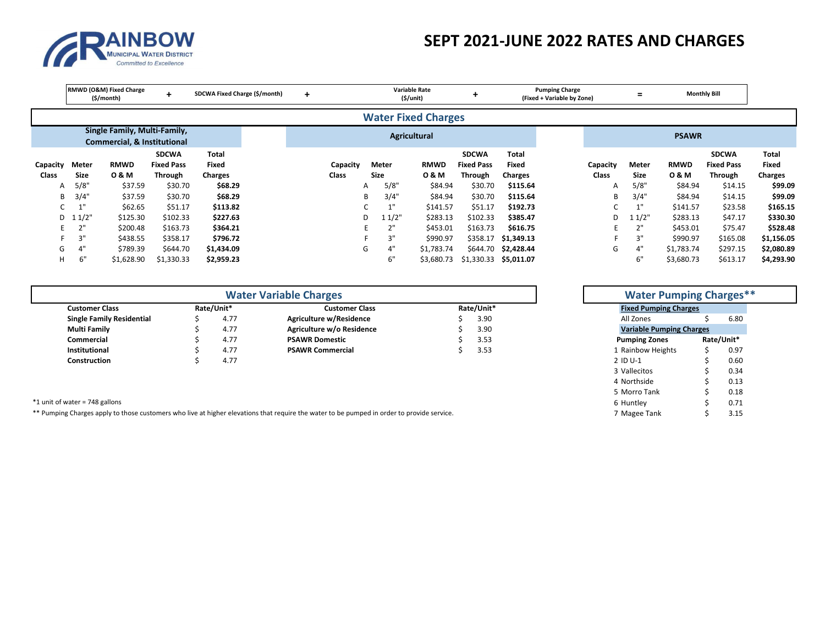

## **SEPT 2021‐JUNE 2022 RATES AND CHARGES**

|                   |                      | RMWD (O&M) Fixed Charge<br>(\$/month)                                  | ÷                                            | SDCWA Fixed Charge (\$/month)    | $\ddot{}$ |                   |                      | <b>Variable Rate</b><br>(S/unit) |                                              | <b>Pumping Charge</b><br>(Fixed + Variable by Zone) |  |                   | Ξ                    |                      | <b>Monthly Bill</b>                          |                                  |
|-------------------|----------------------|------------------------------------------------------------------------|----------------------------------------------|----------------------------------|-----------|-------------------|----------------------|----------------------------------|----------------------------------------------|-----------------------------------------------------|--|-------------------|----------------------|----------------------|----------------------------------------------|----------------------------------|
|                   |                      |                                                                        |                                              |                                  |           |                   |                      | <b>Water Fixed Charges</b>       |                                              |                                                     |  |                   |                      |                      |                                              |                                  |
|                   |                      | Single Family, Multi-Family,<br><b>Commercial, &amp; Institutional</b> |                                              |                                  |           |                   |                      | <b>Agricultural</b>              |                                              |                                                     |  |                   |                      | <b>PSAWR</b>         |                                              |                                  |
| Capacity<br>Class | Meter<br><b>Size</b> | <b>RMWD</b><br>0 & M                                                   | <b>SDCWA</b><br><b>Fixed Pass</b><br>Through | Total<br>Fixed<br><b>Charges</b> |           | Capacity<br>Class | Meter<br><b>Size</b> | <b>RMWD</b><br>0 & M             | <b>SDCWA</b><br><b>Fixed Pass</b><br>Through | Total<br>Fixed                                      |  | Capacity<br>Class | Meter<br><b>Size</b> | <b>RMWD</b><br>0 & M | <b>SDCWA</b><br><b>Fixed Pass</b><br>Through | <b>Total</b><br>Fixed<br>Charges |
| A                 | 5/8"                 | \$37.59                                                                | \$30.70                                      | \$68.29                          |           |                   | 5/8"<br>A            | \$84.94                          | \$30.70                                      | Charges<br>\$115.64                                 |  | A                 | 5/8"                 | \$84.94              | \$14.15                                      | \$99.09                          |
| B                 | 3/4"                 | \$37.59                                                                | \$30.70                                      | \$68.29                          |           |                   | 3/4"<br>B            | \$84.94                          | \$30.70                                      | \$115.64                                            |  | B                 | 3/4"                 | \$84.94              | \$14.15                                      | \$99.09                          |
|                   | 1"                   | \$62.65                                                                | \$51.17                                      | \$113.82                         |           |                   | 4 H                  | \$141.57                         | \$51.17                                      | \$192.73                                            |  |                   | 4.11                 | \$141.57             | \$23.58                                      | \$165.15                         |
|                   | $D \quad 11/2$ "     | \$125.30                                                               | \$102.33                                     | \$227.63                         |           |                   | 11/2"<br>D           | \$283.13                         | \$102.33                                     | \$385.47                                            |  | D                 | 11/2"                | \$283.13             | \$47.17                                      | \$330.30                         |
| F.                |                      | \$200.48                                                               | \$163.73                                     | \$364.21                         |           |                   | 2"<br>F.             | \$453.01                         | \$163.73                                     | \$616.75                                            |  |                   | 2"                   | \$453.01             | \$75.47                                      | \$528.48                         |
|                   | 3"                   | \$438.55                                                               | \$358.17                                     | \$796.72                         |           |                   | 3"                   | \$990.97                         | \$358.17                                     | \$1,349.13                                          |  |                   | 3"                   | \$990.97             | \$165.08                                     | \$1,156.05                       |
| G                 | 4"                   | \$789.39                                                               | \$644.70                                     | \$1,434.09                       |           |                   | 4"<br>G              | \$1,783.74                       |                                              | \$644.70 \$2,428.44                                 |  | G                 | 4"                   | \$1,783.74           | \$297.15                                     | \$2,080.89                       |
| H.                | 6"                   | \$1,628.90                                                             | \$1,330.33                                   | \$2,959.23                       |           |                   | 6"                   | \$3,680.73                       |                                              | \$1,330.33 \$5,011.07                               |  |                   | 6"                   | \$3,680.73           | \$613.17                                     | \$4,293.90                       |

|                                  |  | <b>Water Pumping Charges**</b> |                           |                              |                                 |            |      |
|----------------------------------|--|--------------------------------|---------------------------|------------------------------|---------------------------------|------------|------|
| <b>Customer Class</b>            |  | Rate/Unit*                     | <b>Customer Class</b>     | <b>Fixed Pumping Charges</b> |                                 |            |      |
| <b>Single Family Residential</b> |  | 4.77                           | Agriculture w/Residence   | 3.90                         | All Zones                       |            | 6.80 |
| <b>Multi Family</b>              |  | 4.77                           | Agriculture w/o Residence | 3.90                         | <b>Variable Pumping Charges</b> |            |      |
| Commercial                       |  | 4.77                           | <b>PSAWR Domestic</b>     | 3.53                         | <b>Pumping Zones</b>            | Rate/Unit* |      |
| Institutional                    |  | 4.77                           | <b>PSAWR Commercial</b>   | 3.53                         | 1 Rainbow Heights               |            | 0.97 |
| Construction                     |  | 4.77                           |                           |                              | 2 ID U-1                        |            | 0.60 |

|                                  |      |            | <b>Water Variable Charges</b>                                                                                                              |            | <b>Water Pumping Charges**</b>  |  |            |
|----------------------------------|------|------------|--------------------------------------------------------------------------------------------------------------------------------------------|------------|---------------------------------|--|------------|
| <b>Customer Class</b>            |      | Rate/Unit* | <b>Customer Class</b>                                                                                                                      | Rate/Unit* | <b>Fixed Pumping Charges</b>    |  |            |
| <b>Single Family Residential</b> |      | 4.77       | Agriculture w/Residence                                                                                                                    | 3.90       | All Zones                       |  | 6.80       |
| <b>Multi Family</b>              |      | 4.77       | Agriculture w/o Residence                                                                                                                  | 3.90       | <b>Variable Pumping Charges</b> |  |            |
| Commercial                       |      | 4.77       | <b>PSAWR Domestic</b>                                                                                                                      | 3.53       | <b>Pumping Zones</b>            |  | Rate/Unit* |
| Institutional                    | 4.77 |            | <b>PSAWR Commercial</b>                                                                                                                    | 3.53       | 1 Rainbow Heights               |  | 0.97       |
| <b>Construction</b>              |      | 4.77       |                                                                                                                                            |            | 2 ID U-1                        |  | 0.60       |
|                                  |      |            |                                                                                                                                            |            | 3 Vallecitos                    |  | 0.34       |
|                                  |      |            |                                                                                                                                            |            | 4 Northside                     |  | 0.13       |
|                                  |      |            |                                                                                                                                            |            | 5 Morro Tank                    |  | 0.18       |
| *1 unit of water = 748 gallons   |      |            |                                                                                                                                            |            | 6 Huntley                       |  | 0.71       |
|                                  |      |            | ** Pumping Charges apply to those customers who live at higher elevations that require the water to be pumped in order to provide service. |            | 7 Magee Tank                    |  | 3.15       |